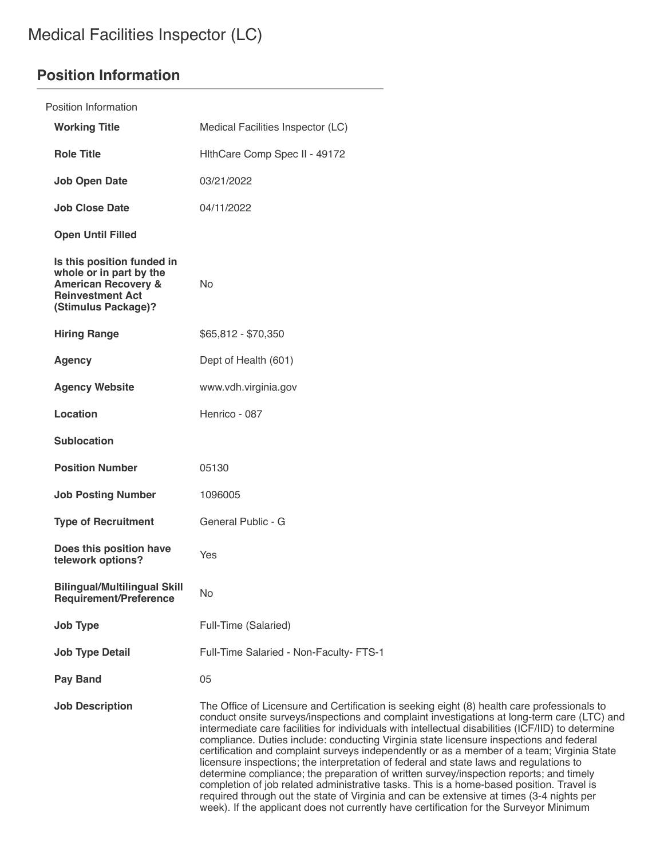# **Position Information**

| Position Information                                                                                                                      |                                                                                                                                                                                                                                                                                                                                                                                                                                                                                                                                                                                                                                                                                                                                                                                                                                                                       |
|-------------------------------------------------------------------------------------------------------------------------------------------|-----------------------------------------------------------------------------------------------------------------------------------------------------------------------------------------------------------------------------------------------------------------------------------------------------------------------------------------------------------------------------------------------------------------------------------------------------------------------------------------------------------------------------------------------------------------------------------------------------------------------------------------------------------------------------------------------------------------------------------------------------------------------------------------------------------------------------------------------------------------------|
| <b>Working Title</b>                                                                                                                      | Medical Facilities Inspector (LC)                                                                                                                                                                                                                                                                                                                                                                                                                                                                                                                                                                                                                                                                                                                                                                                                                                     |
| <b>Role Title</b>                                                                                                                         | HithCare Comp Spec II - 49172                                                                                                                                                                                                                                                                                                                                                                                                                                                                                                                                                                                                                                                                                                                                                                                                                                         |
| <b>Job Open Date</b>                                                                                                                      | 03/21/2022                                                                                                                                                                                                                                                                                                                                                                                                                                                                                                                                                                                                                                                                                                                                                                                                                                                            |
| <b>Job Close Date</b>                                                                                                                     | 04/11/2022                                                                                                                                                                                                                                                                                                                                                                                                                                                                                                                                                                                                                                                                                                                                                                                                                                                            |
| <b>Open Until Filled</b>                                                                                                                  |                                                                                                                                                                                                                                                                                                                                                                                                                                                                                                                                                                                                                                                                                                                                                                                                                                                                       |
| Is this position funded in<br>whole or in part by the<br><b>American Recovery &amp;</b><br><b>Reinvestment Act</b><br>(Stimulus Package)? | <b>No</b>                                                                                                                                                                                                                                                                                                                                                                                                                                                                                                                                                                                                                                                                                                                                                                                                                                                             |
| <b>Hiring Range</b>                                                                                                                       | \$65,812 - \$70,350                                                                                                                                                                                                                                                                                                                                                                                                                                                                                                                                                                                                                                                                                                                                                                                                                                                   |
| <b>Agency</b>                                                                                                                             | Dept of Health (601)                                                                                                                                                                                                                                                                                                                                                                                                                                                                                                                                                                                                                                                                                                                                                                                                                                                  |
| <b>Agency Website</b>                                                                                                                     | www.vdh.virginia.gov                                                                                                                                                                                                                                                                                                                                                                                                                                                                                                                                                                                                                                                                                                                                                                                                                                                  |
| <b>Location</b>                                                                                                                           | Henrico - 087                                                                                                                                                                                                                                                                                                                                                                                                                                                                                                                                                                                                                                                                                                                                                                                                                                                         |
| <b>Sublocation</b>                                                                                                                        |                                                                                                                                                                                                                                                                                                                                                                                                                                                                                                                                                                                                                                                                                                                                                                                                                                                                       |
| <b>Position Number</b>                                                                                                                    | 05130                                                                                                                                                                                                                                                                                                                                                                                                                                                                                                                                                                                                                                                                                                                                                                                                                                                                 |
| <b>Job Posting Number</b>                                                                                                                 | 1096005                                                                                                                                                                                                                                                                                                                                                                                                                                                                                                                                                                                                                                                                                                                                                                                                                                                               |
| <b>Type of Recruitment</b>                                                                                                                | General Public - G                                                                                                                                                                                                                                                                                                                                                                                                                                                                                                                                                                                                                                                                                                                                                                                                                                                    |
| Does this position have<br>telework options?                                                                                              | Yes                                                                                                                                                                                                                                                                                                                                                                                                                                                                                                                                                                                                                                                                                                                                                                                                                                                                   |
| <b>Bilingual/Multilingual Skill</b><br><b>Requirement/Preference</b>                                                                      | <b>No</b>                                                                                                                                                                                                                                                                                                                                                                                                                                                                                                                                                                                                                                                                                                                                                                                                                                                             |
| <b>Job Type</b>                                                                                                                           | Full-Time (Salaried)                                                                                                                                                                                                                                                                                                                                                                                                                                                                                                                                                                                                                                                                                                                                                                                                                                                  |
| <b>Job Type Detail</b>                                                                                                                    | Full-Time Salaried - Non-Faculty- FTS-1                                                                                                                                                                                                                                                                                                                                                                                                                                                                                                                                                                                                                                                                                                                                                                                                                               |
| <b>Pay Band</b>                                                                                                                           | 05                                                                                                                                                                                                                                                                                                                                                                                                                                                                                                                                                                                                                                                                                                                                                                                                                                                                    |
| <b>Job Description</b>                                                                                                                    | The Office of Licensure and Certification is seeking eight (8) health care professionals to<br>conduct onsite surveys/inspections and complaint investigations at long-term care (LTC) and<br>intermediate care facilities for individuals with intellectual disabilities (ICF/IID) to determine<br>compliance. Duties include: conducting Virginia state licensure inspections and federal<br>certification and complaint surveys independently or as a member of a team; Virginia State<br>licensure inspections; the interpretation of federal and state laws and regulations to<br>determine compliance; the preparation of written survey/inspection reports; and timely<br>completion of job related administrative tasks. This is a home-based position. Travel is<br>required through out the state of Virginia and can be extensive at times (3-4 nights per |

week). If the applicant does not currently have certification for the Surveyor Minimum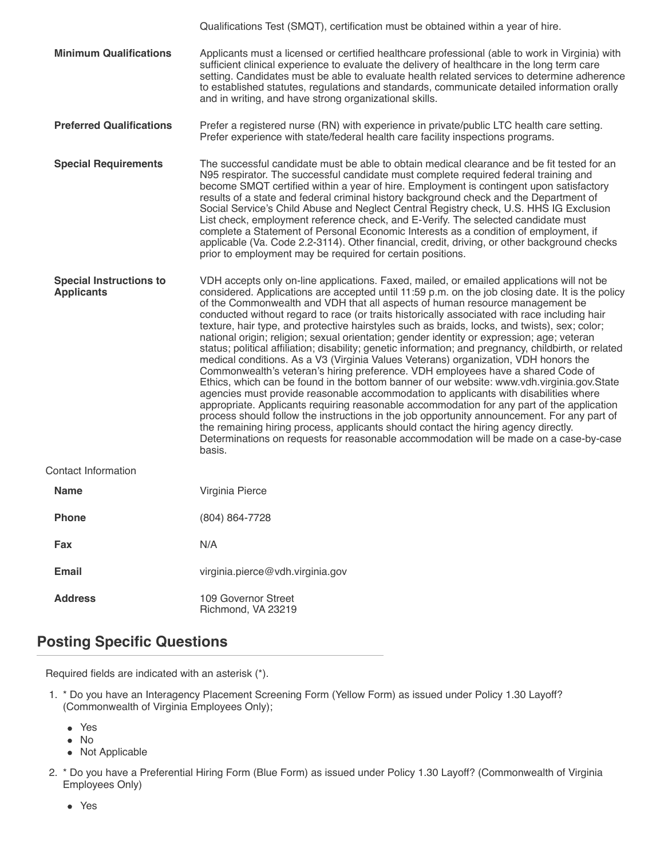|                                                     | Qualifications Test (SMQT), certification must be obtained within a year of hire.                                                                                                                                                                                                                                                                                                                                                                                                                                                                                                                                                                                                                                                                                                                                                                                                                                                                                                                                                                                                                                                                                                                                                                                                                                                                                                                                                             |
|-----------------------------------------------------|-----------------------------------------------------------------------------------------------------------------------------------------------------------------------------------------------------------------------------------------------------------------------------------------------------------------------------------------------------------------------------------------------------------------------------------------------------------------------------------------------------------------------------------------------------------------------------------------------------------------------------------------------------------------------------------------------------------------------------------------------------------------------------------------------------------------------------------------------------------------------------------------------------------------------------------------------------------------------------------------------------------------------------------------------------------------------------------------------------------------------------------------------------------------------------------------------------------------------------------------------------------------------------------------------------------------------------------------------------------------------------------------------------------------------------------------------|
| <b>Minimum Qualifications</b>                       | Applicants must a licensed or certified healthcare professional (able to work in Virginia) with<br>sufficient clinical experience to evaluate the delivery of healthcare in the long term care<br>setting. Candidates must be able to evaluate health related services to determine adherence<br>to established statutes, regulations and standards, communicate detailed information orally<br>and in writing, and have strong organizational skills.                                                                                                                                                                                                                                                                                                                                                                                                                                                                                                                                                                                                                                                                                                                                                                                                                                                                                                                                                                                        |
| <b>Preferred Qualifications</b>                     | Prefer a registered nurse (RN) with experience in private/public LTC health care setting.<br>Prefer experience with state/federal health care facility inspections programs.                                                                                                                                                                                                                                                                                                                                                                                                                                                                                                                                                                                                                                                                                                                                                                                                                                                                                                                                                                                                                                                                                                                                                                                                                                                                  |
| <b>Special Requirements</b>                         | The successful candidate must be able to obtain medical clearance and be fit tested for an<br>N95 respirator. The successful candidate must complete required federal training and<br>become SMQT certified within a year of hire. Employment is contingent upon satisfactory<br>results of a state and federal criminal history background check and the Department of<br>Social Service's Child Abuse and Neglect Central Registry check, U.S. HHS IG Exclusion<br>List check, employment reference check, and E-Verify. The selected candidate must<br>complete a Statement of Personal Economic Interests as a condition of employment, if<br>applicable (Va. Code 2.2-3114). Other financial, credit, driving, or other background checks<br>prior to employment may be required for certain positions.                                                                                                                                                                                                                                                                                                                                                                                                                                                                                                                                                                                                                                  |
| <b>Special Instructions to</b><br><b>Applicants</b> | VDH accepts only on-line applications. Faxed, mailed, or emailed applications will not be<br>considered. Applications are accepted until 11:59 p.m. on the job closing date. It is the policy<br>of the Commonwealth and VDH that all aspects of human resource management be<br>conducted without regard to race (or traits historically associated with race including hair<br>texture, hair type, and protective hairstyles such as braids, locks, and twists), sex; color;<br>national origin; religion; sexual orientation; gender identity or expression; age; veteran<br>status; political affiliation; disability; genetic information; and pregnancy, childbirth, or related<br>medical conditions. As a V3 (Virginia Values Veterans) organization, VDH honors the<br>Commonwealth's veteran's hiring preference. VDH employees have a shared Code of<br>Ethics, which can be found in the bottom banner of our website: www.vdh.virginia.gov.State<br>agencies must provide reasonable accommodation to applicants with disabilities where<br>appropriate. Applicants requiring reasonable accommodation for any part of the application<br>process should follow the instructions in the job opportunity announcement. For any part of<br>the remaining hiring process, applicants should contact the hiring agency directly.<br>Determinations on requests for reasonable accommodation will be made on a case-by-case<br>basis. |
| Contact Information                                 |                                                                                                                                                                                                                                                                                                                                                                                                                                                                                                                                                                                                                                                                                                                                                                                                                                                                                                                                                                                                                                                                                                                                                                                                                                                                                                                                                                                                                                               |
| <b>Name</b>                                         | Virginia Pierce                                                                                                                                                                                                                                                                                                                                                                                                                                                                                                                                                                                                                                                                                                                                                                                                                                                                                                                                                                                                                                                                                                                                                                                                                                                                                                                                                                                                                               |
| <b>Phone</b>                                        | (804) 864-7728                                                                                                                                                                                                                                                                                                                                                                                                                                                                                                                                                                                                                                                                                                                                                                                                                                                                                                                                                                                                                                                                                                                                                                                                                                                                                                                                                                                                                                |
| Fax                                                 | N/A                                                                                                                                                                                                                                                                                                                                                                                                                                                                                                                                                                                                                                                                                                                                                                                                                                                                                                                                                                                                                                                                                                                                                                                                                                                                                                                                                                                                                                           |
| <b>Email</b>                                        | virginia.pierce@vdh.virginia.gov                                                                                                                                                                                                                                                                                                                                                                                                                                                                                                                                                                                                                                                                                                                                                                                                                                                                                                                                                                                                                                                                                                                                                                                                                                                                                                                                                                                                              |
| <b>Address</b>                                      | 109 Governor Street<br>Richmond, VA 23219                                                                                                                                                                                                                                                                                                                                                                                                                                                                                                                                                                                                                                                                                                                                                                                                                                                                                                                                                                                                                                                                                                                                                                                                                                                                                                                                                                                                     |

## **Posting Specific Questions**

Required fields are indicated with an asterisk (\*).

- 1. \* Do you have an Interagency Placement Screening Form (Yellow Form) as issued under Policy 1.30 Layoff? (Commonwealth of Virginia Employees Only);
	- Yes
	- No
	- Not Applicable
- 2. \* Do you have a Preferential Hiring Form (Blue Form) as issued under Policy 1.30 Layoff? (Commonwealth of Virginia Employees Only)
	- Yes